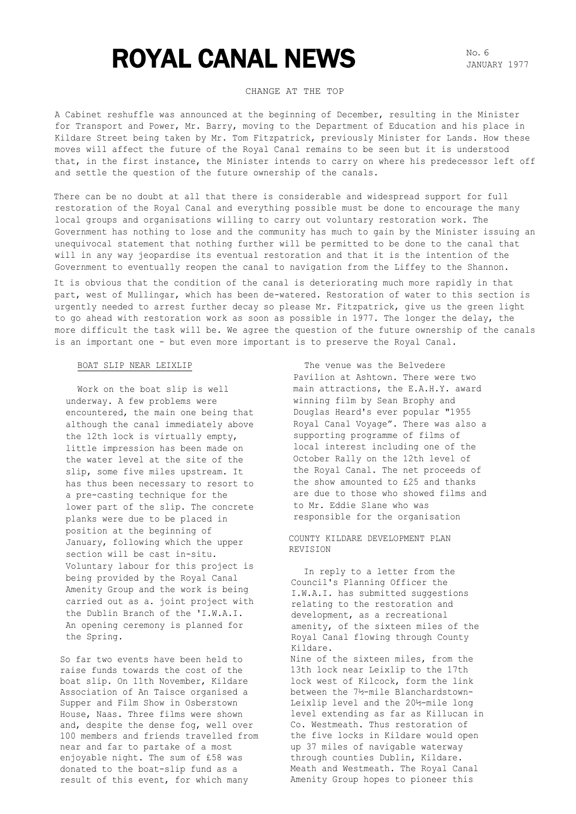# ROYAL CANAL NEWS NO. 6

JANUARY 1977

# CHANGE AT THE TOP

A Cabinet reshuffle was announced at the beginning of December, resulting in the Minister for Transport and Power, Mr. Barry, moving to the Department of Education and his place in Kildare Street being taken by Mr. Tom Fitzpatrick, previously Minister for Lands. How these moves will affect the future of the Royal Canal remains to be seen but it is understood that, in the first instance, the Minister intends to carry on where his predecessor left off and settle the question of the future ownership of the canals.

There can be no doubt at all that there is considerable and widespread support for full restoration of the Royal Canal and everything possible must be done to encourage the many local groups and organisations willing to carry out voluntary restoration work. The Government has nothing to lose and the community has much to gain by the Minister issuing an unequivocal statement that nothing further will be permitted to be done to the canal that will in any way jeopardise its eventual restoration and that it is the intention of the Government to eventually reopen the canal to navigation from the Liffey to the Shannon.

It is obvious that the condition of the canal is deteriorating much more rapidly in that part, west of Mullingar, which has been de-watered. Restoration of water to this section is urgently needed to arrest further decay so please Mr. Fitzpatrick, give us the green light to go ahead with restoration work as soon as possible in 1977. The longer the delay, the more difficult the task will be. We agree the question of the future ownership of the canals is an important one - but even more important is to preserve the Royal Canal.

## BOAT SLIP NEAR LEIXLIP

Work on the boat slip is well underway. A few problems were encountered, the main one being that although the canal immediately above the 12th lock is virtually empty, little impression has been made on the water level at the site of the slip, some five miles upstream. It has thus been necessary to resort to a pre-casting technique for the lower part of the slip. The concrete planks were due to be placed in position at the beginning of January, following which the upper section will be cast in-situ. Voluntary labour for this project is being provided by the Royal Canal Amenity Group and the work is being carried out as a. joint project with the Dublin Branch of the 'I.W.A.I. An opening ceremony is planned for the Spring.

So far two events have been held to raise funds towards the cost of the boat slip. On 11th November, Kildare Association of An Taisce organised a Supper and Film Show in Osberstown House, Naas. Three films were shown and, despite the dense fog, well over 100 members and friends travelled from near and far to partake of a most enjoyable night. The sum of £58 was donated to the boat-slip fund as a result of this event, for which many

The venue was the Belvedere Pavilion at Ashtown. There were two main attractions, the E.A.H.Y. award winning film by Sean Brophy and Douglas Heard's ever popular "1955 Royal Canal Voyage". There was also a supporting programme of films of local interest including one of the October Rally on the 12th level of the Royal Canal. The net proceeds of the show amounted to £25 and thanks are due to those who showed films and to Mr. Eddie Slane who was responsible for the organisation

COUNTY KILDARE DEVELOPMENT PLAN REVISION

In reply to a letter from the Council's Planning Officer the I.W.A.I. has submitted suggestions relating to the restoration and development, as a recreational amenity, of the sixteen miles of the Royal Canal flowing through County Kildare.

Nine of the sixteen miles, from the 13th lock near Leixlip to the 17th lock west of Kilcock, form the link between the 7½-mile Blanchardstown-Leixlip level and the 20½-mile long level extending as far as Killucan in Co. Westmeath. Thus restoration of the five locks in Kildare would open up 37 miles of navigable waterway through counties Dublin, Kildare. Meath and Westmeath. The Royal Canal Amenity Group hopes to pioneer this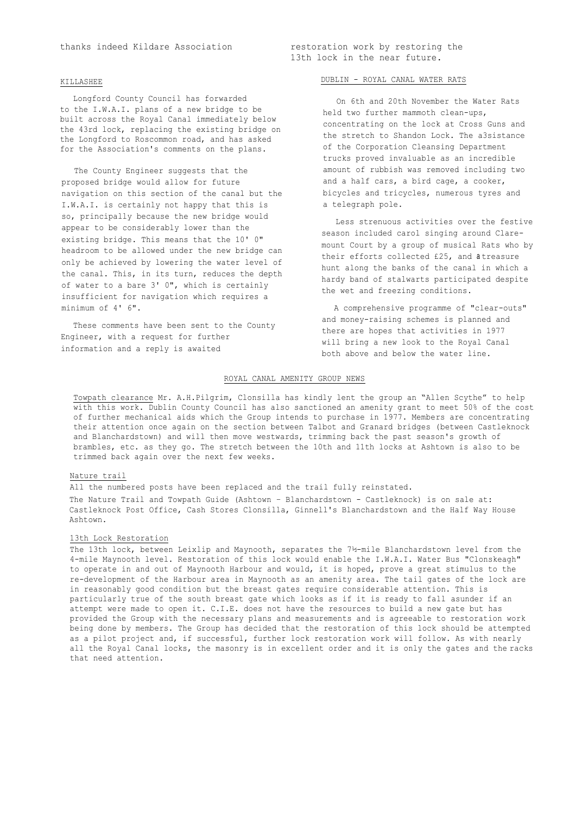#### KILLASHEE

Longford County Council has forwarded to the I.W.A.I. plans of a new bridge to be built across the Royal Canal immediately below the 43rd lock, replacing the existing bridge on the Longford to Roscommon road, and has asked for the Association's comments on the plans.

The County Engineer suggests that the proposed bridge would allow for future navigation on this section of the canal but the I.W.A.I. is certainly not happy that this is so, principally because the new bridge would appear to be considerably lower than the existing bridge. This means that the 10' 0" headroom to be allowed under the new bridge can only be achieved by lowering the water level of the canal. This, in its turn, reduces the depth of water to a bare 3' 0", which is certainly insufficient for navigation which requires a minimum of 4' 6".

These comments have been sent to the County Engineer, with a request for further information and a reply is awaited

#### DUBLIN - ROYAL CANAL WATER RATS

On 6th and 20th November the Water Rats held two further mammoth clean-ups, concentrating on the lock at Cross Guns and the stretch to Shandon Lock. The a3sistance of the Corporation Cleansing Department trucks proved invaluable as an incredible amount of rubbish was removed including two and a half cars, a bird cage, a cooker, bicycles and tricycles, numerous tyres and a telegraph pole.

Less strenuous activities over the festive season included carol singing around Claremount Court by a group of musical Rats who by their efforts collected £25, and a treasure hunt along the banks of the canal in which a hardy band of stalwarts participated despite the wet and freezing conditions.

A comprehensive programme of "clear-outs" and money-raising schemes is planned and there are hopes that activities in 1977 will bring a new look to the Royal Canal both above and below the water line.

### ROYAL CANAL AMENITY GROUP NEWS

Towpath clearance Mr. A.H.Pilgrim, Clonsilla has kindly lent the group an "Allen Scythe" to help with this work. Dublin County Council has also sanctioned an amenity grant to meet 50% of the cost of further mechanical aids which the Group intends to purchase in 1977. Members are concentrating their attention once again on the section between Talbot and Granard bridges (between Castleknock and Blanchardstown) and will then move westwards, trimming back the past season's growth of brambles, etc. as they go. The stretch between the 10th and 11th locks at Ashtown is also to be trimmed back again over the next few weeks.

#### Nature trail

All the numbered posts have been replaced and the trail fully reinstated. The Nature Trail and Towpath Guide (Ashtown – Blanchardstown - Castleknock) is on sale at: Castleknock Post Office, Cash Stores Clonsilla, Ginnell's Blanchardstown and the Half Way House Ashtown.

#### 13th Lock Restoration

The 13th lock, between Leixlip and Maynooth, separates the 7½-mile Blanchardstown level from the 4-mile Maynooth level. Restoration of this lock would enable the I.W.A.I. Water Bus "Clonskeagh" to operate in and out of Maynooth Harbour and would, it is hoped, prove a great stimulus to the re-development of the Harbour area in Maynooth as an amenity area. The tail gates of the lock are in reasonably good condition but the breast gates require considerable attention. This is particularly true of the south breast gate which looks as if it is ready to fall asunder if an attempt were made to open it. C.I.E. does not have the resources to build a new gate but has provided the Group with the necessary plans and measurements and is agreeable to restoration work being done by members. The Group has decided that the restoration of this lock should be attempted as a pilot project and, if successful, further lock restoration work will follow. As with nearly all the Royal Canal locks, the masonry is in excellent order and it is only the gates and the racks that need attention.